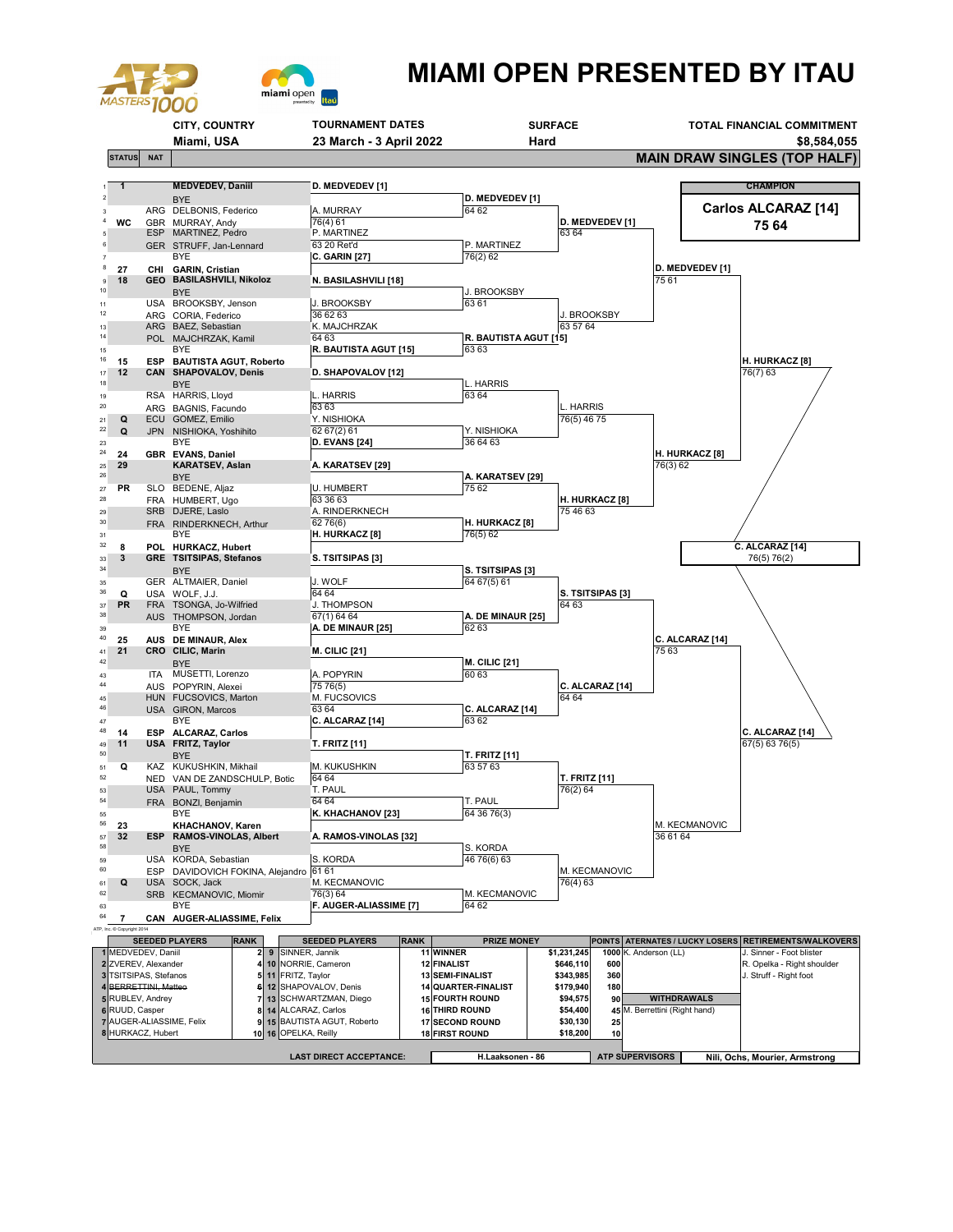



## **MIAMI OPEN PRESENTED BY ITAU**

|                                                                            |            | <b>CITY, COUNTRY</b>                             |                                          | <b>TOURNAMENT DATES</b>                   |                       |                        | <b>SURFACE</b>            |                        |                            | TOTAL FINANCIAL COMMITMENT |                        |                                                |  |
|----------------------------------------------------------------------------|------------|--------------------------------------------------|------------------------------------------|-------------------------------------------|-----------------------|------------------------|---------------------------|------------------------|----------------------------|----------------------------|------------------------|------------------------------------------------|--|
|                                                                            | Miami, USA |                                                  |                                          | 23 March - 3 April 2022                   |                       |                        | Hard                      |                        |                            |                            | \$8,584,055            |                                                |  |
| <b>STATUS</b>                                                              | <b>NAT</b> |                                                  |                                          |                                           |                       |                        |                           |                        |                            |                            |                        | <b>MAIN DRAW SINGLES (TOP HALF)</b>            |  |
|                                                                            |            |                                                  |                                          |                                           |                       |                        |                           |                        |                            |                            |                        |                                                |  |
| $\mathbf{1}$                                                               |            | <b>MEDVEDEV, Daniil</b><br><b>BYE</b>            |                                          | D. MEDVEDEV [1]                           |                       |                        | <b>D. MEDVEDEV [1]</b>    |                        |                            |                            |                        | <b>CHAMPION</b>                                |  |
| 3                                                                          |            | ARG DELBONIS, Federico                           |                                          | A. MURRAY                                 |                       |                        | 64 62                     |                        |                            |                            |                        | Carlos ALCARAZ [14]                            |  |
| WC                                                                         |            | GBR MURRAY, Andy<br>ESP MARTINEZ, Pedro          |                                          | 76(4) 61<br>P. MARTINEZ                   |                       |                        |                           | 63 64                  | D. MEDVEDEV [1]            |                            |                        | 75 64                                          |  |
| 6                                                                          |            | GER STRUFF, Jan-Lennard                          |                                          | 63 20 Ret'd                               |                       |                        | P. MARTINEZ               |                        |                            |                            |                        |                                                |  |
| 8                                                                          |            | BYE                                              |                                          | <b>C. GARIN [27]</b>                      |                       |                        | 76(2) 62                  |                        |                            |                            |                        |                                                |  |
| 27<br>18<br>$\overline{9}$                                                 |            | CHI GARIN, Cristian<br>GEO BASILASHVILI, Nikoloz |                                          | N. BASILASHVILI [18]                      |                       |                        |                           |                        |                            | 75 61                      | <b>D. MEDVEDEV [1]</b> |                                                |  |
| 10                                                                         |            | <b>BYE</b>                                       |                                          |                                           |                       |                        | J. BROOKSBY               |                        |                            |                            |                        |                                                |  |
| 11<br>12                                                                   |            | USA BROOKSBY, Jenson                             |                                          | J. BROOKSBY<br>36 62 63                   |                       |                        | 63 61                     |                        | J. BROOKSBY                |                            |                        |                                                |  |
| 13                                                                         |            | ARG CORIA, Federico<br>ARG BAEZ, Sebastian       |                                          | K. MAJCHRZAK                              |                       |                        |                           | 63 57 64               |                            |                            |                        |                                                |  |
| 14                                                                         |            | POL MAJCHRZAK, Kamil                             |                                          | 64 63                                     |                       |                        | R. BAUTISTA AGUT [15]     |                        |                            |                            |                        |                                                |  |
| 15<br>16<br>15                                                             |            | BYE<br>ESP BAUTISTA AGUT, Roberto                |                                          | R. BAUTISTA AGUT [15]                     |                       |                        | 6363                      |                        |                            |                            |                        | <b>H. HURKACZ [8]</b>                          |  |
| 12<br>$17$                                                                 |            | CAN SHAPOVALOV, Denis                            |                                          | D. SHAPOVALOV [12]                        |                       |                        |                           |                        |                            |                            |                        | 76(7) 63                                       |  |
| 18                                                                         |            | <b>BYE</b>                                       |                                          |                                           |                       |                        | L. HARRIS<br>63 64        |                        |                            |                            |                        |                                                |  |
| 19<br>20                                                                   |            | RSA HARRIS, Lloyd<br>ARG BAGNIS, Facundo         |                                          | L. HARRIS<br>6363                         |                       |                        |                           |                        | HARRIS                     |                            |                        |                                                |  |
| Q<br>21                                                                    |            | ECU GOMEZ, Emilio                                |                                          | Y. NISHIOKA                               |                       |                        |                           |                        | 76(5) 46 75                |                            |                        |                                                |  |
| 22<br>Q                                                                    |            | JPN NISHIOKA, Yoshihito<br>BYE                   |                                          | 62 67(2) 61<br><b>D. EVANS [24]</b>       |                       |                        | y. Nishioka<br>36 64 63   |                        |                            |                            |                        |                                                |  |
| 23<br>24<br>24                                                             |            | GBR EVANS, Daniel                                |                                          |                                           |                       |                        |                           |                        |                            |                            | <b>H. HURKACZ [8]</b>  |                                                |  |
| 29<br>25                                                                   |            | <b>KARATSEV, Aslan</b>                           |                                          | A. KARATSEV [29]                          |                       |                        |                           |                        |                            | 76(3) 62                   |                        |                                                |  |
| 26<br>PR<br>$27\,$                                                         |            | <b>BYE</b><br>SLO BEDENE, Aljaz                  |                                          | <b>U. HUMBERT</b>                         |                       |                        | A. KARATSEV [29]<br>75 62 |                        |                            |                            |                        |                                                |  |
| 28                                                                         |            | FRA HUMBERT, Ugo                                 |                                          | 63 36 63                                  |                       |                        |                           |                        | H. HURKACZ [8]             |                            |                        |                                                |  |
| 29<br>30                                                                   |            | SRB DJERE, Laslo                                 |                                          | A. RINDERKNECH                            |                       |                        | H. HURKACZ [8]            | 75 46 63               |                            |                            |                        |                                                |  |
| 31                                                                         |            | FRA RINDERKNECH, Arthur<br>BYE                   |                                          | 62 76(6)<br><b>H. HURKACZ [8]</b>         |                       |                        | 76(5) 62                  |                        |                            |                            |                        |                                                |  |
| 32<br>8                                                                    |            | POL HURKACZ, Hubert                              |                                          |                                           |                       |                        |                           |                        |                            |                            |                        | C. ALCARAZ [14]                                |  |
| 3<br>33<br>34                                                              |            | <b>GRE TSITSIPAS, Stefanos</b>                   |                                          | S. TSITSIPAS [3]                          |                       |                        | S. TSITSIPAS [3]          |                        |                            |                            |                        | 76(5) 76(2)                                    |  |
| 35                                                                         |            | <b>BYE</b><br>GER ALTMAIER, Daniel               |                                          | J. WOLF                                   |                       |                        | 64 67(5) 61               |                        |                            |                            |                        |                                                |  |
| 36<br>Q                                                                    |            | USA WOLF, J.J.                                   |                                          | 64 64                                     |                       |                        |                           |                        | S. TSITSIPAS [3]           |                            |                        |                                                |  |
| PR<br>37<br>38                                                             |            | FRA TSONGA, Jo-Wilfried<br>AUS THOMPSON, Jordan  |                                          | J. THOMPSON<br>67(1) 64 64                |                       |                        | A. DE MINAUR [25]         | 64 63                  |                            |                            |                        |                                                |  |
| 39                                                                         |            | BYE                                              |                                          | A. DE MINAUR [25]                         |                       |                        | 62 63                     |                        |                            |                            |                        |                                                |  |
| 40<br>25<br>21<br>41                                                       |            | AUS DE MINAUR, Alex<br>CRO CILIC, Marin          |                                          |                                           |                       |                        |                           |                        |                            | 75 63                      | C. ALCARAZ [14]        |                                                |  |
| $42\,$                                                                     |            | <b>BYE</b>                                       |                                          | <b>M. CILIC [21]</b>                      |                       |                        | <b>M. CILIC [21]</b>      |                        |                            |                            |                        |                                                |  |
| 43                                                                         |            | ITA MUSETTI, Lorenzo                             |                                          | A. POPYRIN                                |                       |                        | 60 63                     |                        |                            |                            |                        |                                                |  |
| 44<br>45                                                                   |            | AUS POPYRIN, Alexei<br>HUN FUCSOVICS, Marton     |                                          | 75 76(5)<br>M. FUCSOVICS                  |                       |                        |                           | 64 64                  | C. ALCARAZ [14]            |                            |                        |                                                |  |
| 46                                                                         |            | USA GIRON, Marcos                                |                                          | 63 64                                     |                       |                        | C. ALCARAZ [14]           |                        |                            |                            |                        |                                                |  |
| 47<br>48                                                                   |            | BYE<br>ESP ALCARAZ, Carlos                       |                                          | C. ALCARAZ [14]                           |                       |                        | 63 62                     |                        |                            |                            |                        | C. ALCARAZ [14]                                |  |
| 14<br>11<br>49                                                             |            | USA FRITZ, Taylor                                |                                          | T. FRITZ [11]                             |                       |                        |                           |                        |                            |                            |                        | 67(5) 63 76(5)                                 |  |
| 50                                                                         |            | <b>BYE</b>                                       |                                          |                                           |                       |                        | T. FRITZ [11]             |                        |                            |                            |                        |                                                |  |
| Q<br>51<br>52                                                              |            | KAZ KUKUSHKIN, Mikhail                           | NED VAN DE ZANDSCHULP, Botic             | M. KUKUSHKIN<br>64 64                     |                       |                        | 63 57 63                  |                        | <b>T. FRITZ</b> [11]       |                            |                        |                                                |  |
| 53                                                                         |            | USA PAUL, Tommy                                  |                                          | T. PAUL                                   |                       |                        |                           | 76(2) 64               |                            |                            |                        |                                                |  |
| 54                                                                         |            | FRA BONZI, Benjamin                              |                                          | 64 64                                     |                       |                        | T. PAUL                   |                        |                            |                            |                        |                                                |  |
| 55<br>56<br>23                                                             |            | BYE<br>KHACHANOV, Karen                          |                                          | K. KHACHANOV [23]                         |                       |                        | 64 36 76(3)               |                        |                            |                            | M. KECMANOVIC          |                                                |  |
| 32<br>57                                                                   |            | ESP RAMOS-VINOLAS, Albert                        |                                          | A. RAMOS-VINOLAS [32]                     |                       |                        |                           |                        |                            | 36 61 64                   |                        |                                                |  |
| 58<br>59                                                                   |            | <b>BYE</b><br>USA KORDA, Sebastian               |                                          | S. KORDA                                  |                       |                        | S. KORDA<br>46 76(6) 63   |                        |                            |                            |                        |                                                |  |
| 60                                                                         |            |                                                  | ESP DAVIDOVICH FOKINA, Alejandro 61 61   |                                           |                       |                        |                           |                        | M. KECMANOVIC              |                            |                        |                                                |  |
| Q<br>61                                                                    |            | USA SOCK, Jack                                   |                                          | M. KECMANOVIC                             |                       |                        |                           | 76(4) 63               |                            |                            |                        |                                                |  |
| 62<br>63                                                                   |            | SRB KECMANOVIC, Miomir<br>BYE                    |                                          | 76(3) 64<br><b>F. AUGER-ALIASSIME [7]</b> |                       |                        | M. KECMANOVIC<br>64 62    |                        |                            |                            |                        |                                                |  |
| 64<br>7                                                                    |            | CAN AUGER-ALIASSIME, Felix                       |                                          |                                           |                       |                        |                           |                        |                            |                            |                        |                                                |  |
| Inc. @ Copyright 2014                                                      |            | <b>SEEDED PLAYERS</b>                            | <b>RANK</b>                              | <b>SEEDED PLAYERS</b>                     | <b>RANK</b>           |                        | <b>PRIZE MONEY</b>        |                        | <b>POINTS</b>              |                            |                        | ATERNATES / LUCKY LOSERS RETIREMENTS/WALKOVERS |  |
| 1 MEDVEDEV, Daniil                                                         |            |                                                  | 9 SINNER, Jannik<br>$\mathbf{2}$         |                                           |                       | 11 WINNER              |                           | \$1,231,245            |                            | 1000 K. Anderson (LL)      |                        | J. Sinner - Foot blister                       |  |
| 2 ZVEREV, Alexander                                                        |            |                                                  | 4 10 NORRIE, Cameron                     |                                           |                       | 12 FINALIST            |                           | \$646,110              | 600                        |                            |                        | R. Opelka - Right shoulder                     |  |
| 3 TSITSIPAS, Stefanos<br>4 BERRETTINI, Matteo                              |            |                                                  | 11 FRITZ, Taylor<br>5 <sub>1</sub><br>61 | 12 SHAPOVALOV, Denis                      |                       | 13 SEMI-FINALIST       | 14 QUARTER-FINALIST       | \$343,985<br>\$179,940 | 360<br>180                 |                            |                        | J. Struff - Right foot                         |  |
| 5 RUBLEV, Andrey                                                           |            |                                                  | 71                                       | 13 SCHWARTZMAN, Diego                     |                       |                        | <b>15 FOURTH ROUND</b>    | \$94,575               | 90                         | <b>WITHDRAWALS</b>         |                        |                                                |  |
| 6 RUUD, Casper<br>14 ALCARAZ, Carlos<br>8<br>7 AUGER-ALIASSIME, Felix<br>9 |            |                                                  | 15 BAUTISTA AGUT, Roberto                |                                           | <b>16 THIRD ROUND</b> | <b>17 SECOND ROUND</b> | \$54,400<br>\$30,130      | 45<br>25               | M. Berrettini (Right hand) |                            |                        |                                                |  |
| 8 HURKACZ, Hubert                                                          |            |                                                  | 10 16 OPELKA, Reilly                     |                                           |                       | <b>18 FIRST ROUND</b>  |                           | \$18,200               | 10                         |                            |                        |                                                |  |
|                                                                            |            |                                                  |                                          |                                           |                       |                        |                           |                        |                            |                            |                        |                                                |  |
|                                                                            |            |                                                  |                                          | <b>LAST DIRECT ACCEPTANCE:</b>            |                       |                        | H.Laaksonen - 86          |                        |                            | <b>ATP SUPERVISORS</b>     |                        | Nili, Ochs, Mourier, Armstrong                 |  |